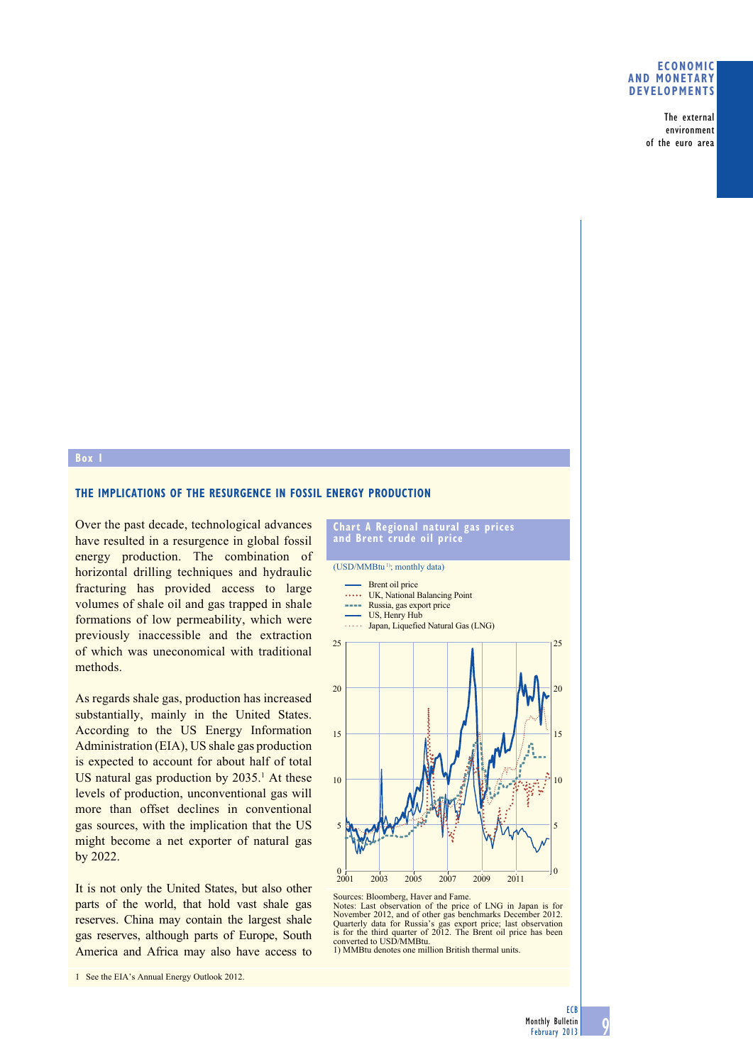## **eConomiC and monetary deVeloPmentS**

The external environment of the euro area

## **box 1**

## **the imPliCationS oF the reSurGenCe in FoSSil enerGy ProduCtion**

Over the past decade, technological advances have resulted in a resurgence in global fossil energy production. The combination of horizontal drilling techniques and hydraulic fracturing has provided access to large volumes of shale oil and gas trapped in shale formations of low permeability, which were previously inaccessible and the extraction of which was uneconomical with traditional methods.

As regards shale gas, production has increased substantially, mainly in the United States. According to the US Energy Information Administration (EIA), US shale gas production is expected to account for about half of total US natural gas production by  $2035<sup>1</sup>$  At these levels of production, unconventional gas will more than offset declines in conventional gas sources, with the implication that the US might become a net exporter of natural gas by 2022.

It is not only the United States, but also other parts of the world, that hold vast shale gas reserves. China may contain the largest shale gas reserves, although parts of Europe, South America and Africa may also have access to

1 See the EIA's Annual Energy Outlook 2012.



(USD/MMBtu<sup>1)</sup>; monthly data)

- Brent oil price
- UK, National Balancing Point
- **Russia**, gas export price
- **WEDFIGHT** Japan, Liquefied Natural Gas (LNG) US, Henry Hub



Sources: Bloomberg, Haver and Fame. Notes: Last observation of the price of LNG in Japan is for November 2012, and of other gas benchmarks December 2012. Quarterly data for Russia's gas export price; last observation is for the third quarter of 2012. The Brent oil price has been converted to USD/MMBtu.

1) MMBtu denotes one million British thermal units.

9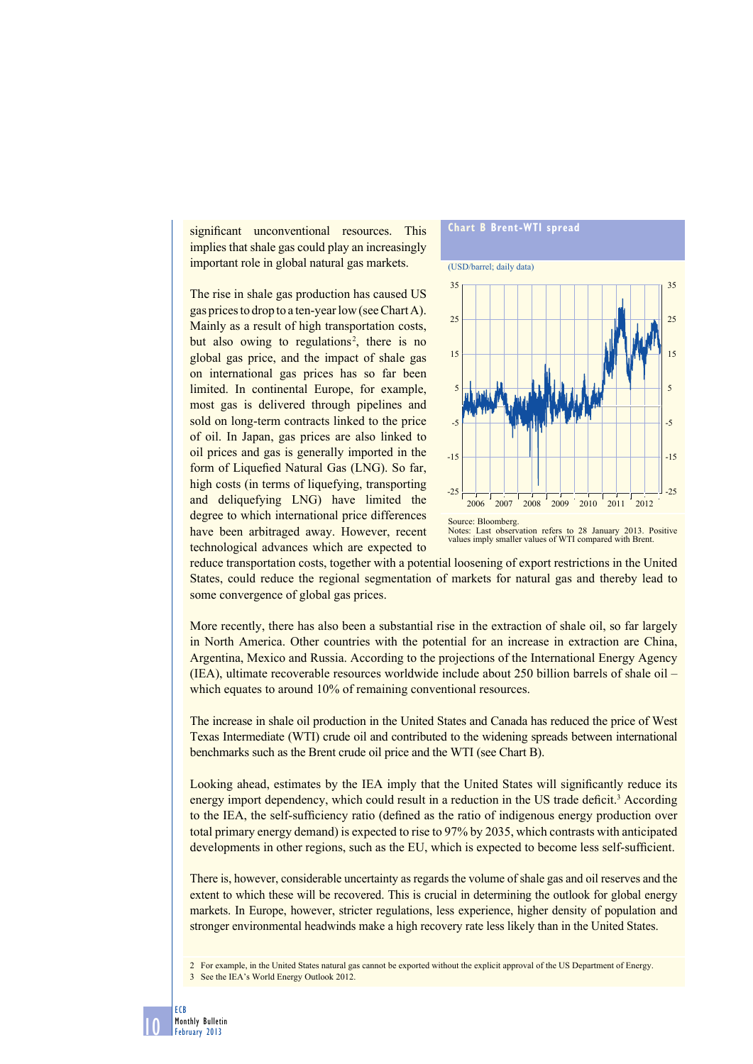significant unconventional resources. This implies that shale gas could play an increasingly important role in global natural gas markets.

The rise in shale gas production has caused US gas prices to drop to a ten-year low (see Chart A). Mainly as a result of high transportation costs, but also owing to regulations<sup>2</sup>, there is no global gas price, and the impact of shale gas on international gas prices has so far been limited. In continental Europe, for example, most gas is delivered through pipelines and sold on long-term contracts linked to the price of oil. In Japan, gas prices are also linked to oil prices and gas is generally imported in the form of Liquefied Natural Gas (LNG). So far, high costs (in terms of liquefying, transporting and deliquefying LNG) have limited the degree to which international price differences have been arbitraged away. However, recent technological advances which are expected to



reduce transportation costs, together with a potential loosening of export restrictions in the United States, could reduce the regional segmentation of markets for natural gas and thereby lead to some convergence of global gas prices.

More recently, there has also been a substantial rise in the extraction of shale oil, so far largely in North America. Other countries with the potential for an increase in extraction are China, Argentina, Mexico and Russia. According to the projections of the International Energy Agency (IEA), ultimate recoverable resources worldwide include about 250 billion barrels of shale oil – which equates to around 10% of remaining conventional resources.

The increase in shale oil production in the United States and Canada has reduced the price of West Texas Intermediate (WTI) crude oil and contributed to the widening spreads between international benchmarks such as the Brent crude oil price and the WTI (see Chart B).

Looking ahead, estimates by the IEA imply that the United States will significantly reduce its energy import dependency, which could result in a reduction in the US trade deficit.<sup>3</sup> According to the IEA, the self-sufficiency ratio (defined as the ratio of indigenous energy production over total primary energy demand) is expected to rise to 97% by 2035, which contrasts with anticipated developments in other regions, such as the EU, which is expected to become less self-sufficient.

There is, however, considerable uncertainty as regards the volume of shale gas and oil reserves and the extent to which these will be recovered. This is crucial in determining the outlook for global energy markets. In Europe, however, stricter regulations, less experience, higher density of population and stronger environmental headwinds make a high recovery rate less likely than in the United States.

2 For example, in the United States natural gas cannot be exported without the explicit approval of the US Department of Energy. 3 See the IEA's World Energy Outlook 2012.